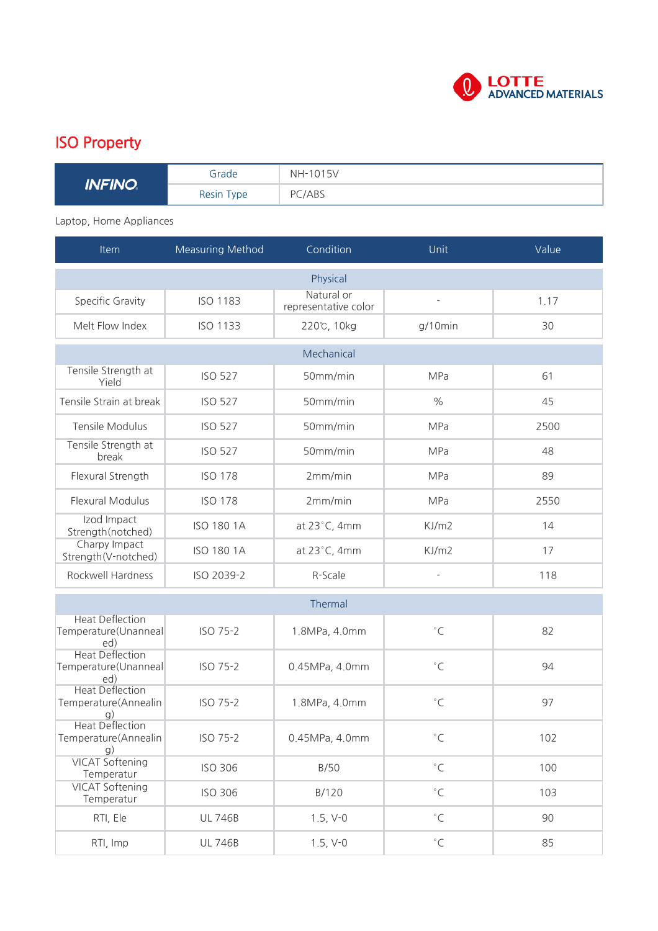

## ISO Property

| <b>INFINO</b> | Grade      | <b>NH-1015V</b> |
|---------------|------------|-----------------|
|               | Resin Type | PC/ABS          |

## Laptop, Home Appliances

| Item                                                  | Measuring Method  | Condition                          | Unit                     | Value |  |  |  |
|-------------------------------------------------------|-------------------|------------------------------------|--------------------------|-------|--|--|--|
|                                                       |                   | Physical                           |                          |       |  |  |  |
| Specific Gravity                                      | <b>ISO 1183</b>   | Natural or<br>representative color | $\overline{\phantom{a}}$ | 1.17  |  |  |  |
| Melt Flow Index                                       | <b>ISO 1133</b>   | 220℃, 10kg                         | $g/10$ min               | 30    |  |  |  |
| Mechanical                                            |                   |                                    |                          |       |  |  |  |
| Tensile Strength at<br>Yield                          | <b>ISO 527</b>    | 50mm/min                           | <b>MPa</b>               | 61    |  |  |  |
| Tensile Strain at break                               | <b>ISO 527</b>    | 50mm/min                           | $\frac{0}{0}$            | 45    |  |  |  |
| Tensile Modulus                                       | <b>ISO 527</b>    | 50mm/min                           | <b>MPa</b>               | 2500  |  |  |  |
| Tensile Strength at<br>break                          | <b>ISO 527</b>    | 50mm/min                           | <b>MPa</b>               | 48    |  |  |  |
| Flexural Strength                                     | <b>ISO 178</b>    | 2mm/min                            | MPa                      | 89    |  |  |  |
| <b>Flexural Modulus</b>                               | <b>ISO 178</b>    | 2mm/min                            | MPa                      | 2550  |  |  |  |
| Izod Impact<br>Strength(notched)                      | <b>ISO 180 1A</b> | at $23^{\circ}$ C, 4mm             | KJ/m2                    | 14    |  |  |  |
| Charpy Impact<br>Strength(V-notched)                  | <b>ISO 180 1A</b> | at 23°C, 4mm                       | KJ/m2                    | 17    |  |  |  |
| Rockwell Hardness                                     | ISO 2039-2        | R-Scale                            |                          | 118   |  |  |  |
| Thermal                                               |                   |                                    |                          |       |  |  |  |
| <b>Heat Deflection</b><br>Temperature(Unanneal<br>ed) | ISO 75-2          | 1.8MPa, 4.0mm                      | $^{\circ}$ C             | 82    |  |  |  |
| <b>Heat Deflection</b><br>Temperature(Unanneal<br>ed) | ISO 75-2          | 0.45MPa, 4.0mm                     | $^{\circ}$ C             | 94    |  |  |  |
| <b>Heat Deflection</b><br>Temperature(Annealin<br>g)  | ISO 75-2          | 1.8MPa, 4.0mm                      | $^{\circ}$ C             | 97    |  |  |  |
| <b>Heat Deflection</b><br>Temperature(Annealin<br>g)  | ISO 75-2          | 0.45MPa, 4.0mm                     | $^\circ\mathsf{C}$       | 102   |  |  |  |
| <b>VICAT Softening</b><br>Temperatur                  | <b>ISO 306</b>    | B/50                               | $^\circ\mathsf{C}$       | 100   |  |  |  |
| <b>VICAT Softening</b><br>Temperatur                  | ISO 306           | B/120                              | $^\circ\mathsf{C}$       | 103   |  |  |  |
| RTI, Ele                                              | <b>UL 746B</b>    | $1.5, V-0$                         | $^\circ\mathsf{C}$       | 90    |  |  |  |
| RTI, Imp                                              | <b>UL 746B</b>    | $1.5, V-0$                         | $^\circ\mathsf{C}$       | 85    |  |  |  |